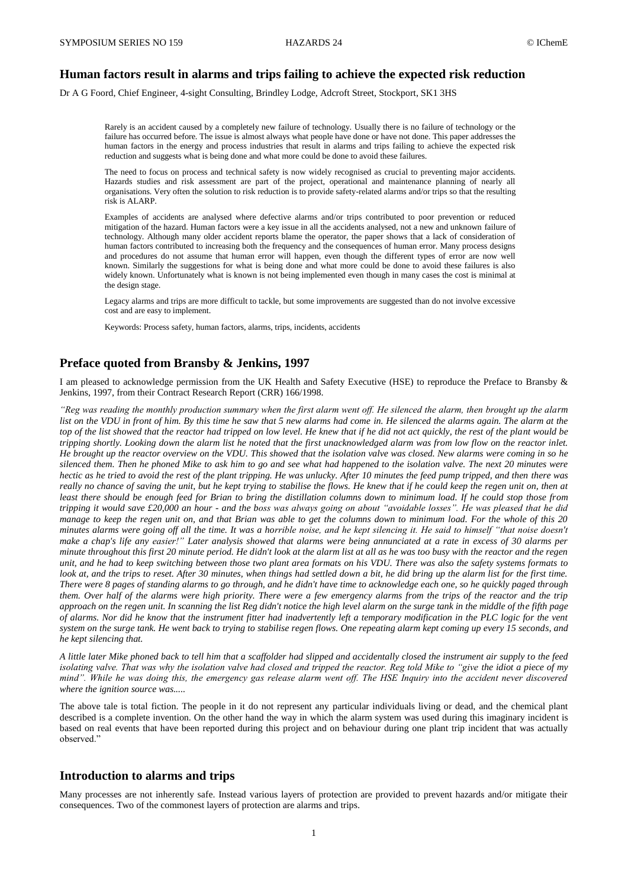## **Human factors result in alarms and trips failing to achieve the expected risk reduction**

Dr A G Foord, Chief Engineer, 4-sight Consulting, Brindley Lodge, Adcroft Street, Stockport, SK1 3HS

Rarely is an accident caused by a completely new failure of technology. Usually there is no failure of technology or the failure has occurred before. The issue is almost always what people have done or have not done. This paper addresses the human factors in the energy and process industries that result in alarms and trips failing to achieve the expected risk reduction and suggests what is being done and what more could be done to avoid these failures.

The need to focus on process and technical safety is now widely recognised as crucial to preventing major accidents. Hazards studies and risk assessment are part of the project, operational and maintenance planning of nearly all organisations. Very often the solution to risk reduction is to provide safety-related alarms and/or trips so that the resulting risk is ALARP.

Examples of accidents are analysed where defective alarms and/or trips contributed to poor prevention or reduced mitigation of the hazard. Human factors were a key issue in all the accidents analysed, not a new and unknown failure of technology. Although many older accident reports blame the operator, the paper shows that a lack of consideration of human factors contributed to increasing both the frequency and the consequences of human error. Many process designs and procedures do not assume that human error will happen, even though the different types of error are now well known. Similarly the suggestions for what is being done and what more could be done to avoid these failures is also widely known. Unfortunately what is known is not being implemented even though in many cases the cost is minimal at the design stage.

Legacy alarms and trips are more difficult to tackle, but some improvements are suggested than do not involve excessive cost and are easy to implement.

Keywords: Process safety, human factors, alarms, trips, incidents, accidents

## **Preface quoted from Bransby & Jenkins, 1997**

I am pleased to acknowledge permission from the UK Health and Safety Executive (HSE) to reproduce the Preface to Bransby & Jenkins, 1997, from their Contract Research Report (CRR) 166/1998.

*"Reg was reading the monthly production summary when the first alarm went off. He silenced the alarm, then brought up the alarm*  list on the VDU in front of him. By this time he saw that 5 new alarms had come in. He silenced the alarms again. The alarm at the *top of the list showed that the reactor had tripped on low level. He knew that if he did not act quickly, the rest of the plant would be tripping shortly. Looking down the alarm list he noted that the first unacknowledged alarm was from low flow on the reactor inlet. He brought up the reactor overview on the VDU. This showed that the isolation valve was closed. New alarms were coming in so he silenced them. Then he phoned Mike to ask him to go and see what had happened to the isolation valve. The next 20 minutes were hectic as he tried to avoid the rest of the plant tripping. He was unlucky. After 10 minutes the feed pump tripped, and then there was really no chance of saving the unit, but he kept trying to stabilise the flows. He knew that if he could keep the regen unit on, then at least there should be enough feed for Brian to bring the distillation columns down to minimum load. If he could stop those from tripping it would save £20,000 an hour - and the boss was always going on about "avoidable losses". He was pleased that he did manage to keep the regen unit on, and that Brian was able to get the columns down to minimum load. For the whole of this 20 minutes alarms were going off all the time. It was a horrible noise, and he kept silencing it. He said to himself "that noise doesn't make a chap's life any easier!" Later analysis showed that alarms were being annunciated at a rate in excess of 30 alarms per minute throughout this first 20 minute period. He didn't look at the alarm list at all as he was too busy with the reactor and the regen unit, and he had to keep switching between those two plant area formats on his VDU. There was also the safety systems formats to look at, and the trips to reset. After 30 minutes, when things had settled down a bit, he did bring up the alarm list for the first time. There were 8 pages of standing alarms to go through, and he didn't have time to acknowledge each one, so he quickly paged through them. Over half of the alarms were high priority. There were a few emergency alarms from the trips of the reactor and the trip approach on the regen unit. In scanning the list Reg didn't notice the high level alarm on the surge tank in the middle of the fifth page of alarms. Nor did he know that the instrument fitter had inadvertently left a temporary modification in the PLC logic for the vent system on the surge tank. He went back to trying to stabilise regen flows. One repeating alarm kept coming up every 15 seconds, and he kept silencing that.*

*A little later Mike phoned back to tell him that a scaffolder had slipped and accidentally closed the instrument air supply to the feed isolating valve. That was why the isolation valve had closed and tripped the reactor. Reg told Mike to "give the idiot a piece of my mind". While he was doing this, the emergency gas release alarm went off. The HSE Inquiry into the accident never discovered where the ignition source was.....*

The above tale is total fiction. The people in it do not represent any particular individuals living or dead, and the chemical plant described is a complete invention. On the other hand the way in which the alarm system was used during this imaginary incident is based on real events that have been reported during this project and on behaviour during one plant trip incident that was actually observed."

## **Introduction to alarms and trips**

Many processes are not inherently safe. Instead various layers of protection are provided to prevent hazards and/or mitigate their consequences. Two of the commonest layers of protection are alarms and trips.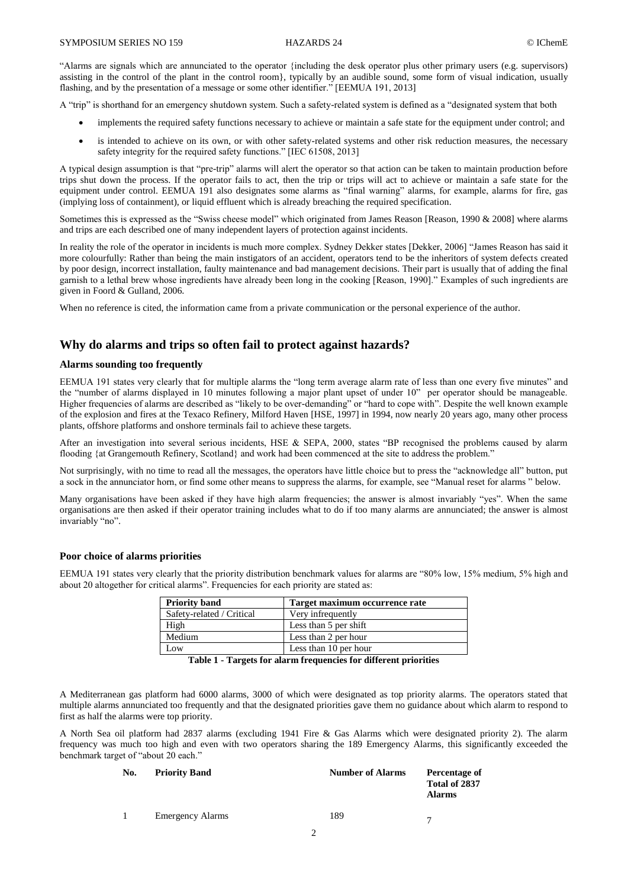"Alarms are signals which are annunciated to the operator {including the desk operator plus other primary users (e.g. supervisors) assisting in the control of the plant in the control room}, typically by an audible sound, some form of visual indication, usually flashing, and by the presentation of a message or some other identifier." [EEMUA 191, 2013]

A "trip" is shorthand for an emergency shutdown system. Such a safety-related system is defined as a "designated system that both

- implements the required safety functions necessary to achieve or maintain a safe state for the equipment under control; and
- is intended to achieve on its own, or with other safety-related systems and other risk reduction measures, the necessary safety integrity for the required safety functions." [IEC 61508, 2013]

A typical design assumption is that "pre-trip" alarms will alert the operator so that action can be taken to maintain production before trips shut down the process. If the operator fails to act, then the trip or trips will act to achieve or maintain a safe state for the equipment under control. EEMUA 191 also designates some alarms as "final warning" alarms, for example, alarms for fire, gas (implying loss of containment), or liquid effluent which is already breaching the required specification.

Sometimes this is expressed as the "Swiss cheese model" which originated from James Reason [Reason, 1990 & 2008] where alarms and trips are each described one of many independent layers of protection against incidents.

In reality the role of the operator in incidents is much more complex. Sydney Dekker states [Dekker, 2006] "James Reason has said it more colourfully: Rather than being the main instigators of an accident, operators tend to be the inheritors of system defects created by poor design, incorrect installation, faulty maintenance and bad management decisions. Their part is usually that of adding the final garnish to a lethal brew whose ingredients have already been long in the cooking [Reason, 1990]." Examples of such ingredients are given in Foord & Gulland, 2006.

When no reference is cited, the information came from a private communication or the personal experience of the author.

# **Why do alarms and trips so often fail to protect against hazards?**

## **Alarms sounding too frequently**

EEMUA 191 states very clearly that for multiple alarms the "long term average alarm rate of less than one every five minutes" and the "number of alarms displayed in 10 minutes following a major plant upset of under 10" per operator should be manageable. Higher frequencies of alarms are described as "likely to be over-demanding" or "hard to cope with". Despite the well known example of the explosion and fires at the Texaco Refinery, Milford Haven [HSE, 1997] in 1994, now nearly 20 years ago, many other process plants, offshore platforms and onshore terminals fail to achieve these targets.

After an investigation into several serious incidents, HSE & SEPA, 2000, states "BP recognised the problems caused by alarm flooding {at Grangemouth Refinery, Scotland} and work had been commenced at the site to address the problem."

Not surprisingly, with no time to read all the messages, the operators have little choice but to press the "acknowledge all" button, put a sock in the annunciator horn, or find some other means to suppress the alarms, for example, see "Manual reset for alarms " below.

Many organisations have been asked if they have high alarm frequencies; the answer is almost invariably "yes". When the same organisations are then asked if their operator training includes what to do if too many alarms are annunciated; the answer is almost invariably "no".

### **Poor choice of alarms priorities**

EEMUA 191 states very clearly that the priority distribution benchmark values for alarms are "80% low, 15% medium, 5% high and about 20 altogether for critical alarms". Frequencies for each priority are stated as:

| <b>Priority band</b>      | Target maximum occurrence rate |
|---------------------------|--------------------------------|
| Safety-related / Critical | Very infrequently              |
| High                      | Less than 5 per shift          |
| Medium                    | Less than 2 per hour           |
| Low                       | Less than 10 per hour          |

**Table 1 - Targets for alarm frequencies for different priorities**

A Mediterranean gas platform had 6000 alarms, 3000 of which were designated as top priority alarms. The operators stated that multiple alarms annunciated too frequently and that the designated priorities gave them no guidance about which alarm to respond to first as half the alarms were top priority.

A North Sea oil platform had 2837 alarms (excluding 1941 Fire & Gas Alarms which were designated priority 2). The alarm frequency was much too high and even with two operators sharing the 189 Emergency Alarms, this significantly exceeded the benchmark target of "about 20 each."

| No. | <b>Priority Band</b>    | <b>Number of Alarms</b> | Percentage of<br>Total of 2837<br>Alarms |
|-----|-------------------------|-------------------------|------------------------------------------|
|     | <b>Emergency Alarms</b> | 189                     |                                          |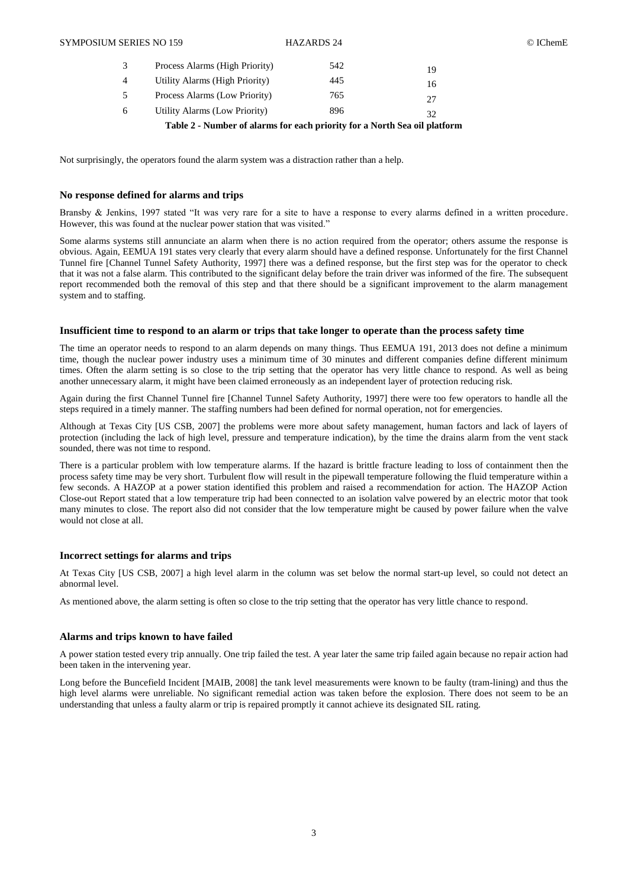|    | Process Alarms (High Priority) | 542 | 19 |
|----|--------------------------------|-----|----|
| 4  | Utility Alarms (High Priority) | 445 | 16 |
| 5  | Process Alarms (Low Priority)  | 765 | 27 |
| 6. | Utility Alarms (Low Priority)  | 896 | 32 |

**Table 2 - Number of alarms for each priority for a North Sea oil platform**

Not surprisingly, the operators found the alarm system was a distraction rather than a help.

## **No response defined for alarms and trips**

Bransby & Jenkins, 1997 stated "It was very rare for a site to have a response to every alarms defined in a written procedure. However, this was found at the nuclear power station that was visited."

Some alarms systems still annunciate an alarm when there is no action required from the operator; others assume the response is obvious. Again, EEMUA 191 states very clearly that every alarm should have a defined response. Unfortunately for the first Channel Tunnel fire [Channel Tunnel Safety Authority, 1997] there was a defined response, but the first step was for the operator to check that it was not a false alarm. This contributed to the significant delay before the train driver was informed of the fire. The subsequent report recommended both the removal of this step and that there should be a significant improvement to the alarm management system and to staffing.

### **Insufficient time to respond to an alarm or trips that take longer to operate than the process safety time**

The time an operator needs to respond to an alarm depends on many things. Thus EEMUA 191, 2013 does not define a minimum time, though the nuclear power industry uses a minimum time of 30 minutes and different companies define different minimum times. Often the alarm setting is so close to the trip setting that the operator has very little chance to respond. As well as being another unnecessary alarm, it might have been claimed erroneously as an independent layer of protection reducing risk.

Again during the first Channel Tunnel fire [Channel Tunnel Safety Authority, 1997] there were too few operators to handle all the steps required in a timely manner. The staffing numbers had been defined for normal operation, not for emergencies.

Although at Texas City [US CSB, 2007] the problems were more about safety management, human factors and lack of layers of protection (including the lack of high level, pressure and temperature indication), by the time the drains alarm from the vent stack sounded, there was not time to respond.

There is a particular problem with low temperature alarms. If the hazard is brittle fracture leading to loss of containment then the process safety time may be very short. Turbulent flow will result in the pipewall temperature following the fluid temperature within a few seconds. A HAZOP at a power station identified this problem and raised a recommendation for action. The HAZOP Action Close-out Report stated that a low temperature trip had been connected to an isolation valve powered by an electric motor that took many minutes to close. The report also did not consider that the low temperature might be caused by power failure when the valve would not close at all.

## **Incorrect settings for alarms and trips**

At Texas City [US CSB, 2007] a high level alarm in the column was set below the normal start-up level, so could not detect an abnormal level.

As mentioned above, the alarm setting is often so close to the trip setting that the operator has very little chance to respond.

### **Alarms and trips known to have failed**

A power station tested every trip annually. One trip failed the test. A year later the same trip failed again because no repair action had been taken in the intervening year.

Long before the Buncefield Incident [MAIB, 2008] the tank level measurements were known to be faulty (tram-lining) and thus the high level alarms were unreliable. No significant remedial action was taken before the explosion. There does not seem to be an understanding that unless a faulty alarm or trip is repaired promptly it cannot achieve its designated SIL rating.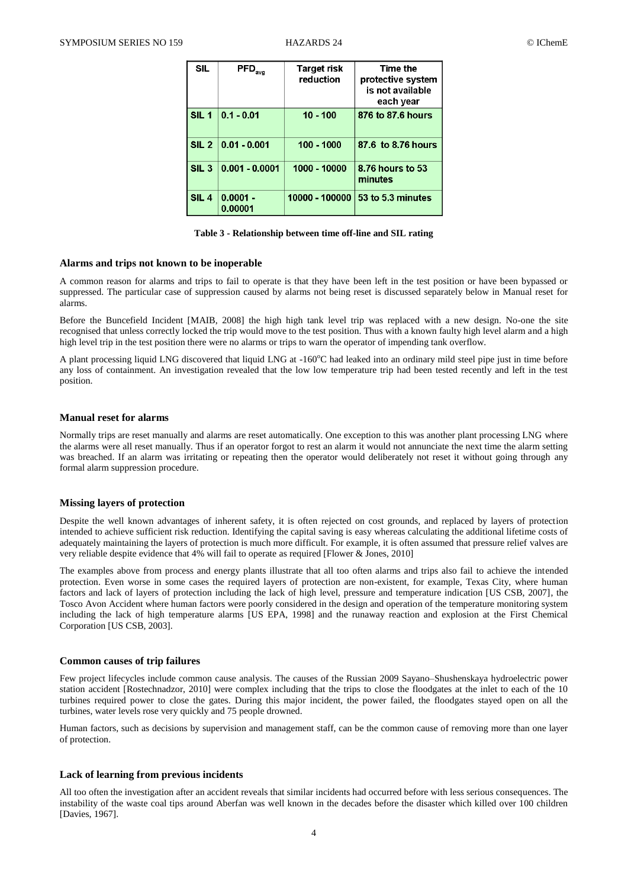| SIL              | $\mathsf{PFD}_\mathsf{avg}$ | Target risk<br>reduction | Time the<br>protective system<br>is not available<br>each year |
|------------------|-----------------------------|--------------------------|----------------------------------------------------------------|
| SIL <sub>1</sub> | $0.1 - 0.01$                | $10 - 100$               | 876 to 87.6 hours                                              |
| SL <sub>2</sub>  | $ 0.01 - 0.001$             | 100 - 1000               | 87.6 to 8.76 hours                                             |
| SIL <sub>3</sub> | $0.001 - 0.0001$            | 1000 - 10000             | 8.76 hours to 53<br>minutes                                    |
| SIL <sub>4</sub> | $0.0001 -$<br>0.00001       | 10000 - 100000           | 53 to 5.3 minutes                                              |

**Table 3 - Relationship between time off-line and SIL rating**

#### **Alarms and trips not known to be inoperable**

A common reason for alarms and trips to fail to operate is that they have been left in the test position or have been bypassed or suppressed. The particular case of suppression caused by alarms not being reset is discussed separately below in Manual reset for alarms.

Before the Buncefield Incident [MAIB, 2008] the high high tank level trip was replaced with a new design. No-one the site recognised that unless correctly locked the trip would move to the test position. Thus with a known faulty high level alarm and a high high level trip in the test position there were no alarms or trips to warn the operator of impending tank overflow.

A plant processing liquid LNG discovered that liquid LNG at  $-160^{\circ}$ C had leaked into an ordinary mild steel pipe just in time before any loss of containment. An investigation revealed that the low low temperature trip had been tested recently and left in the test position.

### **Manual reset for alarms**

Normally trips are reset manually and alarms are reset automatically. One exception to this was another plant processing LNG where the alarms were all reset manually. Thus if an operator forgot to rest an alarm it would not annunciate the next time the alarm setting was breached. If an alarm was irritating or repeating then the operator would deliberately not reset it without going through any formal alarm suppression procedure.

### **Missing layers of protection**

Despite the well known advantages of inherent safety, it is often rejected on cost grounds, and replaced by layers of protection intended to achieve sufficient risk reduction. Identifying the capital saving is easy whereas calculating the additional lifetime costs of adequately maintaining the layers of protection is much more difficult. For example, it is often assumed that pressure relief valves are very reliable despite evidence that 4% will fail to operate as required [Flower & Jones, 2010]

The examples above from process and energy plants illustrate that all too often alarms and trips also fail to achieve the intended protection. Even worse in some cases the required layers of protection are non-existent, for example, Texas City, where human factors and lack of layers of protection including the lack of high level, pressure and temperature indication [US CSB, 2007], the Tosco Avon Accident where human factors were poorly considered in the design and operation of the temperature monitoring system including the lack of high temperature alarms [US EPA, 1998] and the runaway reaction and explosion at the First Chemical Corporation [US CSB, 2003].

### **Common causes of trip failures**

Few project lifecycles include common cause analysis. The causes of the Russian 2009 Sayano–Shushenskaya hydroelectric power station accident [Rostechnadzor, 2010] were complex including that the trips to close the floodgates at the inlet to each of the 10 turbines required power to close the gates. During this major incident, the power failed, the floodgates stayed open on all the turbines, water levels rose very quickly and 75 people drowned.

Human factors, such as decisions by supervision and management staff, can be the common cause of removing more than one layer of protection.

### **Lack of learning from previous incidents**

All too often the investigation after an accident reveals that similar incidents had occurred before with less serious consequences. The instability of the waste coal tips around Aberfan was well known in the decades before the disaster which killed over 100 children [Davies, 1967].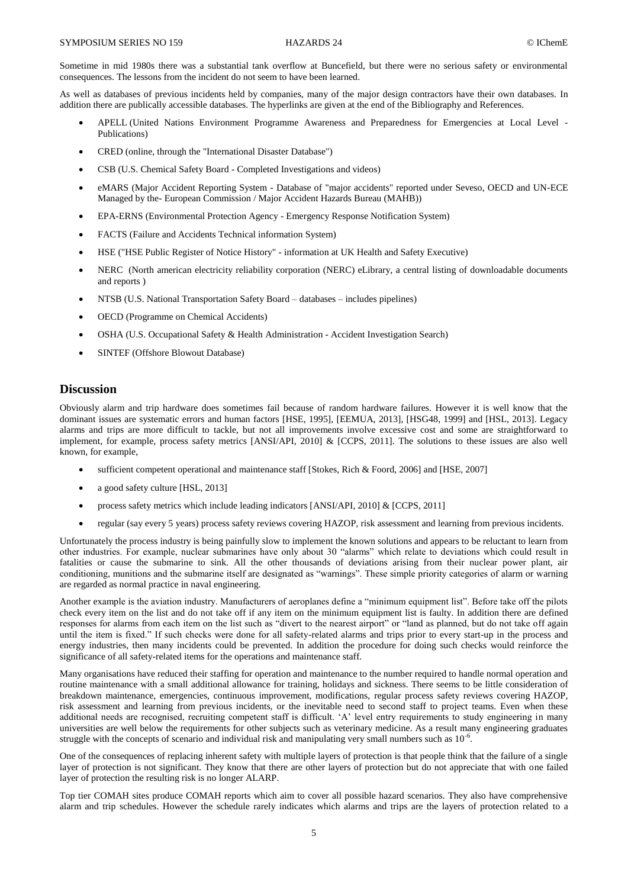Sometime in mid 1980s there was a substantial tank overflow at Buncefield, but there were no serious safety or environmental consequences. The lessons from the incident do not seem to have been learned.

As well as databases of previous incidents held by companies, many of the major design contractors have their own databases. In addition there are publically accessible databases. The hyperlinks are given at the end of the Bibliography and References.

- APELL (United Nations Environment Programme Awareness and Preparedness for Emergencies at Local Level Publications)
- CRED (online, through the "International Disaster Database")
- CSB (U.S. Chemical Safety Board Completed Investigations and videos)
- eMARS (Major Accident Reporting System Database of "major accidents" reported under Seveso, OECD and UN-ECE Managed by the- European Commission / Major Accident Hazards Bureau (MAHB))
- EPA-ERNS (Environmental Protection Agency Emergency Response Notification System)
- FACTS (Failure and Accidents Technical information System)
- HSE ("HSE Public Register of Notice History" information at UK Health and Safety Executive)
- NERC (North american electricity reliability corporation (NERC) eLibrary, a central listing of downloadable documents and reports )
- NTSB (U.S. National Transportation Safety Board databases includes pipelines)
- OECD (Programme on Chemical Accidents)
- OSHA (U.S. Occupational Safety & Health Administration Accident Investigation Search)
- SINTEF (Offshore Blowout Database)

# **Discussion**

Obviously alarm and trip hardware does sometimes fail because of random hardware failures. However it is well know that the dominant issues are systematic errors and human factors [HSE, 1995], [EEMUA, 2013], [HSG48, 1999] and [HSL, 2013]. Legacy alarms and trips are more difficult to tackle, but not all improvements involve excessive cost and some are straightforward to implement, for example, process safety metrics [ANSI/API, 2010] & [CCPS, 2011]. The solutions to these issues are also well known, for example,

- sufficient competent operational and maintenance staff [Stokes, Rich & Foord, 2006] and [HSE, 2007]
- a good safety culture [HSL, 2013]
- process safety metrics which include leading indicators [ANSI/API, 2010] & [CCPS, 2011]
- regular (say every 5 years) process safety reviews covering HAZOP, risk assessment and learning from previous incidents.

Unfortunately the process industry is being painfully slow to implement the known solutions and appears to be reluctant to learn from other industries. For example, nuclear submarines have only about 30 "alarms" which relate to deviations which could result in fatalities or cause the submarine to sink. All the other thousands of deviations arising from their nuclear power plant, air conditioning, munitions and the submarine itself are designated as "warnings". These simple priority categories of alarm or warning are regarded as normal practice in naval engineering.

Another example is the aviation industry. Manufacturers of aeroplanes define a "minimum equipment list". Before take off the pilots check every item on the list and do not take off if any item on the minimum equipment list is faulty. In addition there are defined responses for alarms from each item on the list such as "divert to the nearest airport" or "land as planned, but do not take off again until the item is fixed." If such checks were done for all safety-related alarms and trips prior to every start-up in the process and energy industries, then many incidents could be prevented. In addition the procedure for doing such checks would reinforce the significance of all safety-related items for the operations and maintenance staff.

Many organisations have reduced their staffing for operation and maintenance to the number required to handle normal operation and routine maintenance with a small additional allowance for training, holidays and sickness. There seems to be little consideration of breakdown maintenance, emergencies, continuous improvement, modifications, regular process safety reviews covering HAZOP, risk assessment and learning from previous incidents, or the inevitable need to second staff to project teams. Even when these additional needs are recognised, recruiting competent staff is difficult. 'A' level entry requirements to study engineering in many universities are well below the requirements for other subjects such as veterinary medicine. As a result many engineering graduates struggle with the concepts of scenario and individual risk and manipulating very small numbers such as  $10^{-6}$ .

One of the consequences of replacing inherent safety with multiple layers of protection is that people think that the failure of a single layer of protection is not significant. They know that there are other layers of protection but do not appreciate that with one failed layer of protection the resulting risk is no longer ALARP.

Top tier COMAH sites produce COMAH reports which aim to cover all possible hazard scenarios. They also have comprehensive alarm and trip schedules. However the schedule rarely indicates which alarms and trips are the layers of protection related to a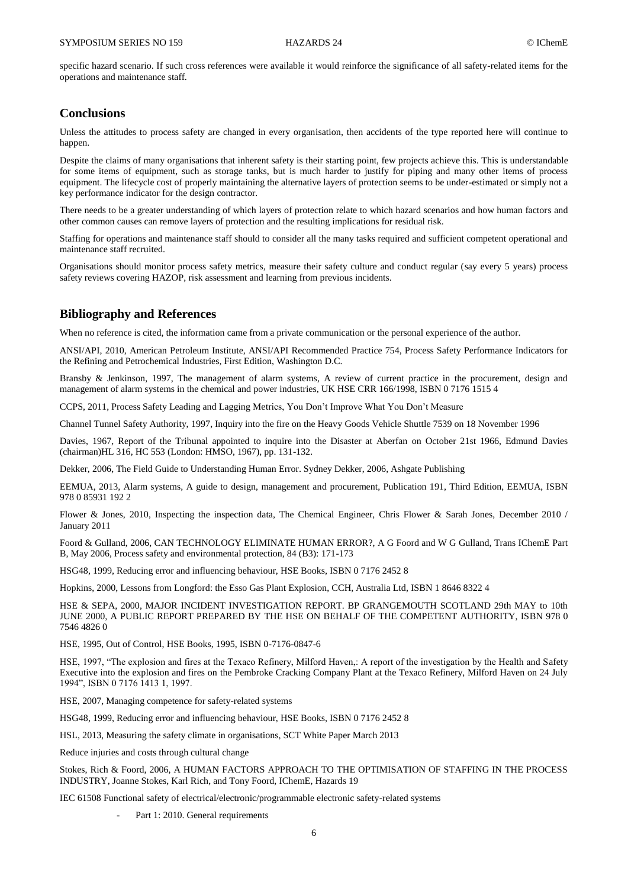specific hazard scenario. If such cross references were available it would reinforce the significance of all safety-related items for the operations and maintenance staff.

## **Conclusions**

Unless the attitudes to process safety are changed in every organisation, then accidents of the type reported here will continue to happen.

Despite the claims of many organisations that inherent safety is their starting point, few projects achieve this. This is understandable for some items of equipment, such as storage tanks, but is much harder to justify for piping and many other items of process equipment. The lifecycle cost of properly maintaining the alternative layers of protection seems to be under-estimated or simply not a key performance indicator for the design contractor.

There needs to be a greater understanding of which layers of protection relate to which hazard scenarios and how human factors and other common causes can remove layers of protection and the resulting implications for residual risk.

Staffing for operations and maintenance staff should to consider all the many tasks required and sufficient competent operational and maintenance staff recruited.

Organisations should monitor process safety metrics, measure their safety culture and conduct regular (say every 5 years) process safety reviews covering HAZOP, risk assessment and learning from previous incidents.

## **Bibliography and References**

When no reference is cited, the information came from a private communication or the personal experience of the author.

ANSI/API, 2010, American Petroleum Institute, ANSI/API Recommended Practice 754, Process Safety Performance Indicators for the Refining and Petrochemical Industries, First Edition, Washington D.C.

Bransby & Jenkinson, 1997, The management of alarm systems, A review of current practice in the procurement, design and management of alarm systems in the chemical and power industries, UK HSE CRR 166/1998, ISBN 0 7176 1515 4

CCPS, 2011, Process Safety Leading and Lagging Metrics, You Don't Improve What You Don't Measure

Channel Tunnel Safety Authority, 1997, Inquiry into the fire on the Heavy Goods Vehicle Shuttle 7539 on 18 November 1996

Davies, 1967, Report of the Tribunal appointed to inquire into the Disaster at Aberfan on October 21st 1966, Edmund Davies (chairman)HL 316, HC 553 (London: HMSO, 1967), pp. 131-132.

Dekker, 2006, The Field Guide to Understanding Human Error. Sydney Dekker, 2006, Ashgate Publishing

EEMUA, 2013, Alarm systems, A guide to design, management and procurement, Publication 191, Third Edition, EEMUA, ISBN 978 0 85931 192 2

Flower & Jones, 2010, Inspecting the inspection data, The Chemical Engineer, Chris Flower & Sarah Jones, December 2010 / January 2011

Foord & Gulland, 2006, CAN TECHNOLOGY ELIMINATE HUMAN ERROR?, A G Foord and W G Gulland, Trans IChemE Part B, May 2006, Process safety and environmental protection, 84 (B3): 171-173

HSG48, 1999, Reducing error and influencing behaviour, HSE Books, ISBN 0 7176 2452 8

Hopkins, 2000, Lessons from Longford: the Esso Gas Plant Explosion, CCH, Australia Ltd, ISBN 1 8646 8322 4

HSE & SEPA, 2000, MAJOR INCIDENT INVESTIGATION REPORT. BP GRANGEMOUTH SCOTLAND 29th MAY to 10th JUNE 2000, A PUBLIC REPORT PREPARED BY THE HSE ON BEHALF OF THE COMPETENT AUTHORITY, ISBN 978 0 7546 4826 0

HSE, 1995, Out of Control, HSE Books, 1995, ISBN 0-7176-0847-6

HSE, 1997, "The explosion and fires at the Texaco Refinery, Milford Haven,: A report of the investigation by the Health and Safety Executive into the explosion and fires on the Pembroke Cracking Company Plant at the Texaco Refinery, Milford Haven on 24 July 1994", ISBN 0 7176 1413 1, 1997.

HSE, 2007, Managing competence for safety-related systems

HSG48, 1999, Reducing error and influencing behaviour, HSE Books, ISBN 0 7176 2452 8

HSL, 2013, Measuring the safety climate in organisations, SCT White Paper March 2013

Reduce injuries and costs through cultural change

Stokes, Rich & Foord, 2006, A HUMAN FACTORS APPROACH TO THE OPTIMISATION OF STAFFING IN THE PROCESS INDUSTRY, Joanne Stokes, Karl Rich, and Tony Foord, IChemE, Hazards 19

IEC 61508 Functional safety of electrical/electronic/programmable electronic safety-related systems

Part 1: 2010. General requirements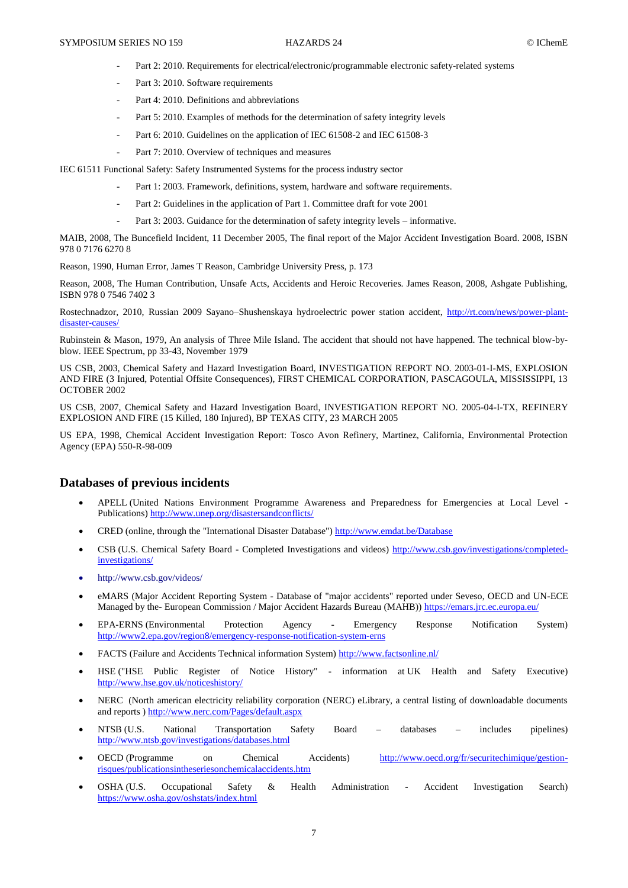- Part 2: 2010. Requirements for electrical/electronic/programmable electronic safety-related systems
- Part 3: 2010. Software requirements
- Part 4: 2010. Definitions and abbreviations
- Part 5: 2010. Examples of methods for the determination of safety integrity levels
- Part 6: 2010. Guidelines on the application of IEC 61508-2 and IEC 61508-3
- Part 7: 2010. Overview of techniques and measures

IEC 61511 Functional Safety: Safety Instrumented Systems for the process industry sector

- Part 1: 2003. Framework, definitions, system, hardware and software requirements.
- Part 2: Guidelines in the application of Part 1. Committee draft for vote 2001
- Part 3: 2003. Guidance for the determination of safety integrity levels informative.

MAIB, 2008, The Buncefield Incident, 11 December 2005, The final report of the Major Accident Investigation Board. 2008, ISBN 978 0 7176 6270 8

Reason, 1990, Human Error, James T Reason, Cambridge University Press, p. 173

Reason, 2008, The Human Contribution, Unsafe Acts, Accidents and Heroic Recoveries. James Reason, 2008, Ashgate Publishing, ISBN 978 0 7546 7402 3

Rostechnadzor, 2010, Russian 2009 Sayano–Shushenskaya hydroelectric power station accident, [http://rt.com/news/power-plant](http://rt.com/news/power-plant-disaster-causes/)disaster-causes

Rubinstein & Mason, 1979, An analysis of Three Mile Island. The accident that should not have happened. The technical blow-byblow. IEEE Spectrum, pp 33-43, November 1979

US CSB, 2003, Chemical Safety and Hazard Investigation Board, INVESTIGATION REPORT NO. 2003-01-I-MS, EXPLOSION AND FIRE (3 Injured, Potential Offsite Consequences), FIRST CHEMICAL CORPORATION, PASCAGOULA, MISSISSIPPI, 13 OCTOBER 2002

US CSB, 2007, Chemical Safety and Hazard Investigation Board, INVESTIGATION REPORT NO. 2005-04-I-TX, REFINERY EXPLOSION AND FIRE (15 Killed, 180 Injured), BP TEXAS CITY, 23 MARCH 2005

US EPA, 1998, Chemical Accident Investigation Report: Tosco Avon Refinery, Martinez, California, Environmental Protection Agency (EPA) 550-R-98-009

## **Databases of previous incidents**

- APELL (United Nations Environment Programme Awareness and Preparedness for Emergencies at Local Level Publications[\) http://www.unep.org/disastersandconflicts/](http://www.unep.org/disastersandconflicts/)
- CRED (online, through the "International Disaster Database")<http://www.emdat.be/Database>
- CSB (U.S. Chemical Safety Board Completed Investigations and videos) [http://www.csb.gov/investigations/completed](http://www.csb.gov/investigations/completed-investigations/)[investigations/](http://www.csb.gov/investigations/completed-investigations/)
- http://www.csb.gov/videos/
- eMARS (Major Accident Reporting System Database of "major accidents" reported under Seveso, OECD and UN-ECE Managed by the- European Commission / Major Accident Hazards Bureau (MAHB))<https://emars.jrc.ec.europa.eu/>
- EPA-ERNS (Environmental Protection Agency Emergency Response Notification System) <http://www2.epa.gov/region8/emergency-response-notification-system-erns>
- FACTS (Failure and Accidents Technical information System)<http://www.factsonline.nl/>
- HSE ("HSE Public Register of Notice History" information at UK Health and Safety Executive) <http://www.hse.gov.uk/noticeshistory/>
- NERC (North american electricity reliability corporation (NERC) eLibrary, a central listing of downloadable documents and reports [\) http://www.nerc.com/Pages/default.aspx](http://www.nerc.com/Pages/default.aspx)
- NTSB (U.S. National Transportation Safety Board databases includes pipelines) <http://www.ntsb.gov/investigations/databases.html>
- OECD (Programme on Chemical Accidents) [http://www.oecd.org/fr/securitechimique/gestion](http://www.oecd.org/fr/securitechimique/gestion-risques/publicationsintheseriesonchemicalaccidents.htm)[risques/publicationsintheseriesonchemicalaccidents.htm](http://www.oecd.org/fr/securitechimique/gestion-risques/publicationsintheseriesonchemicalaccidents.htm)
- OSHA (U.S. Occupational Safety & Health Administration Accident Investigation Search) <https://www.osha.gov/oshstats/index.html>